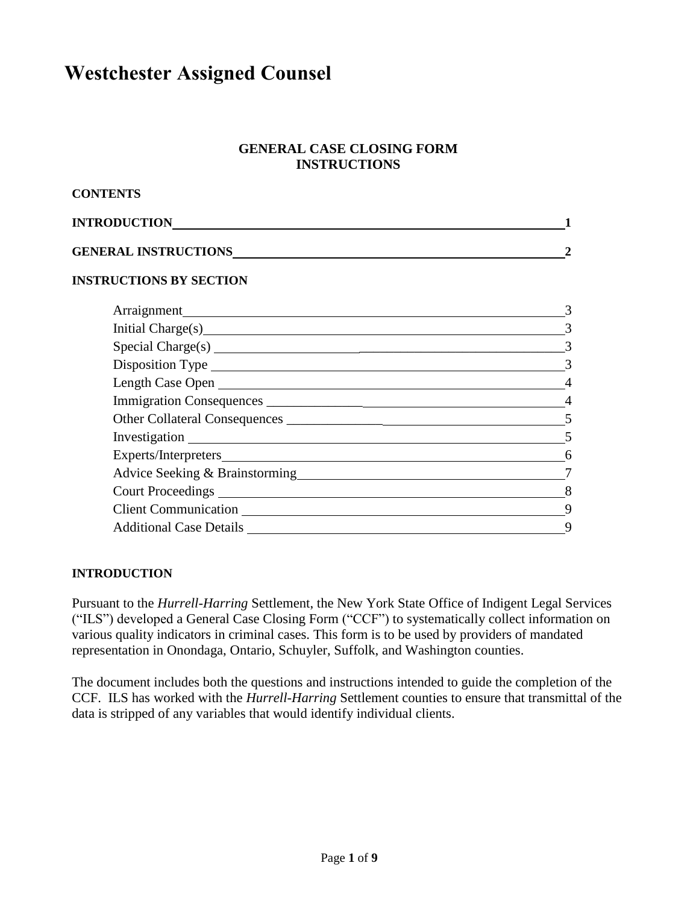# **Westchester Assigned Counsel**

## **GENERAL CASE CLOSING FORM INSTRUCTIONS**

| <b>CONTENTS</b>                |                |
|--------------------------------|----------------|
| <b>INTRODUCTION</b>            |                |
| <b>GENERAL INSTRUCTIONS</b>    |                |
| <b>INSTRUCTIONS BY SECTION</b> |                |
|                                |                |
|                                | 3              |
|                                | $\overline{3}$ |
|                                | 3              |
| Length Case Open               | $\overline{4}$ |
|                                | $\overline{4}$ |
|                                |                |
|                                | $\overline{5}$ |
|                                | 6              |
|                                | $\overline{7}$ |
|                                | 8              |
|                                | 9              |
|                                | 9              |

# **INTRODUCTION**

Pursuant to the *Hurrell-Harring* Settlement, the New York State Office of Indigent Legal Services ("ILS") developed a General Case Closing Form ("CCF") to systematically collect information on various quality indicators in criminal cases. This form is to be used by providers of mandated representation in Onondaga, Ontario, Schuyler, Suffolk, and Washington counties.

The document includes both the questions and instructions intended to guide the completion of the CCF. ILS has worked with the *Hurrell-Harring* Settlement counties to ensure that transmittal of the data is stripped of any variables that would identify individual clients.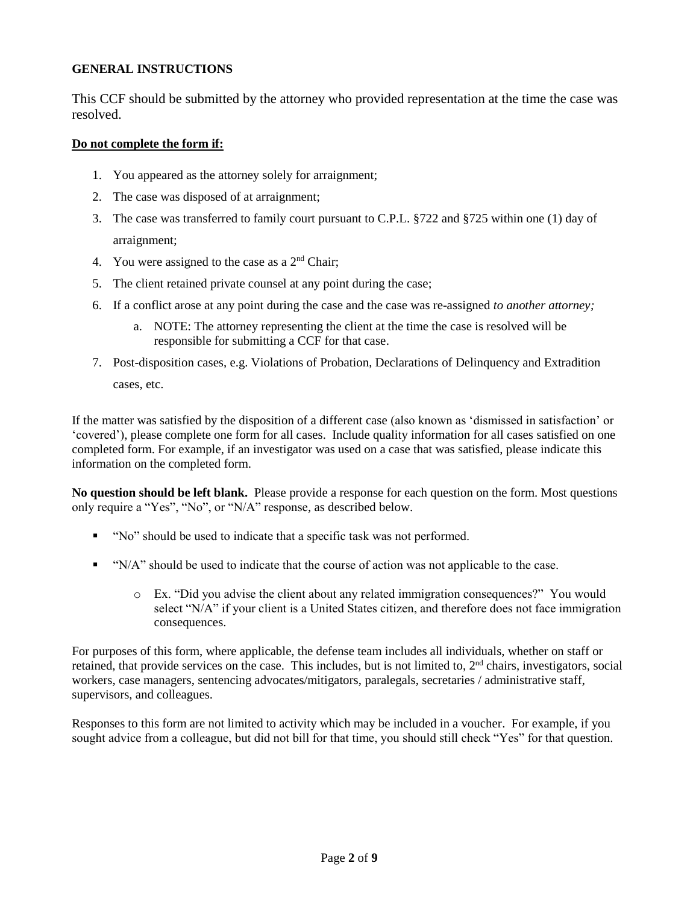# **GENERAL INSTRUCTIONS**

This CCF should be submitted by the attorney who provided representation at the time the case was resolved.

### **Do not complete the form if:**

- 1. You appeared as the attorney solely for arraignment;
- 2. The case was disposed of at arraignment;
- 3. The case was transferred to family court pursuant to C.P.L. §722 and §725 within one (1) day of arraignment;
- 4. You were assigned to the case as a  $2<sup>nd</sup>$  Chair;
- 5. The client retained private counsel at any point during the case;
- 6. If a conflict arose at any point during the case and the case was re-assigned *to another attorney;*
	- a. NOTE: The attorney representing the client at the time the case is resolved will be responsible for submitting a CCF for that case.
- 7. Post-disposition cases, e.g. Violations of Probation, Declarations of Delinquency and Extradition cases, etc.

If the matter was satisfied by the disposition of a different case (also known as 'dismissed in satisfaction' or 'covered'), please complete one form for all cases. Include quality information for all cases satisfied on one completed form. For example, if an investigator was used on a case that was satisfied, please indicate this information on the completed form.

**No question should be left blank.** Please provide a response for each question on the form. Most questions only require a "Yes", "No", or "N/A" response, as described below.

- "No" should be used to indicate that a specific task was not performed.
- "N/A" should be used to indicate that the course of action was not applicable to the case.
	- o Ex. "Did you advise the client about any related immigration consequences?" You would select "N/A" if your client is a United States citizen, and therefore does not face immigration consequences.

For purposes of this form, where applicable, the defense team includes all individuals, whether on staff or retained, that provide services on the case. This includes, but is not limited to, 2<sup>nd</sup> chairs, investigators, social workers, case managers, sentencing advocates/mitigators, paralegals, secretaries / administrative staff, supervisors, and colleagues.

Responses to this form are not limited to activity which may be included in a voucher. For example, if you sought advice from a colleague, but did not bill for that time, you should still check "Yes" for that question.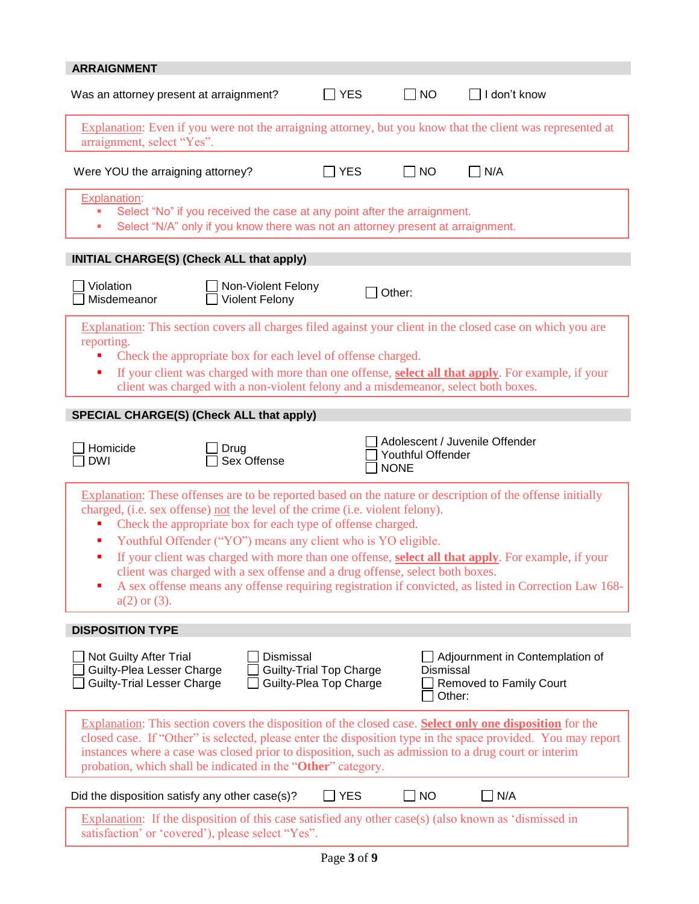| <b>ARRAIGNMENT</b>                                                                                                                                                                                                                                                                                                                                                                                                                                                                                                                                                                                                                                                     |                                                          |                                  |                                                                      |
|------------------------------------------------------------------------------------------------------------------------------------------------------------------------------------------------------------------------------------------------------------------------------------------------------------------------------------------------------------------------------------------------------------------------------------------------------------------------------------------------------------------------------------------------------------------------------------------------------------------------------------------------------------------------|----------------------------------------------------------|----------------------------------|----------------------------------------------------------------------|
| Was an attorney present at arraignment?                                                                                                                                                                                                                                                                                                                                                                                                                                                                                                                                                                                                                                | $\Box$ YES                                               | $\Box$ NO                        | I don't know                                                         |
| Explanation: Even if you were not the arraigning attorney, but you know that the client was represented at<br>arraignment, select "Yes".                                                                                                                                                                                                                                                                                                                                                                                                                                                                                                                               |                                                          |                                  |                                                                      |
| Were YOU the arraigning attorney?                                                                                                                                                                                                                                                                                                                                                                                                                                                                                                                                                                                                                                      | <b>YES</b>                                               | <b>NO</b>                        | N/A                                                                  |
| <b>Explanation:</b><br>Select "No" if you received the case at any point after the arraignment.<br>Select "N/A" only if you know there was not an attorney present at arraignment.<br>ш                                                                                                                                                                                                                                                                                                                                                                                                                                                                                |                                                          |                                  |                                                                      |
| INITIAL CHARGE(S) (Check ALL that apply)                                                                                                                                                                                                                                                                                                                                                                                                                                                                                                                                                                                                                               |                                                          |                                  |                                                                      |
| Violation<br>Non-Violent Felony<br>Misdemeanor<br><b>Violent Felony</b>                                                                                                                                                                                                                                                                                                                                                                                                                                                                                                                                                                                                |                                                          | Other:                           |                                                                      |
| Explanation: This section covers all charges filed against your client in the closed case on which you are                                                                                                                                                                                                                                                                                                                                                                                                                                                                                                                                                             |                                                          |                                  |                                                                      |
| reporting.<br>Check the appropriate box for each level of offense charged.<br>If your client was charged with more than one offense, select all that apply. For example, if your<br>п<br>client was charged with a non-violent felony and a misdemeanor, select both boxes.                                                                                                                                                                                                                                                                                                                                                                                            |                                                          |                                  |                                                                      |
| <b>SPECIAL CHARGE(S) (Check ALL that apply)</b>                                                                                                                                                                                                                                                                                                                                                                                                                                                                                                                                                                                                                        |                                                          |                                  |                                                                      |
| Homicide<br>Drug<br>Sex Offense<br><b>DWI</b>                                                                                                                                                                                                                                                                                                                                                                                                                                                                                                                                                                                                                          |                                                          | Youthful Offender<br><b>NONE</b> | Adolescent / Juvenile Offender                                       |
| Explanation: These offenses are to be reported based on the nature or description of the offense initially<br>charged, (i.e. sex offense) not the level of the crime (i.e. violent felony).<br>Check the appropriate box for each type of offense charged.<br>Youthful Offender ("YO") means any client who is YO eligible.<br>ш<br>If your client was charged with more than one offense, <b>select all that apply</b> . For example, if your<br>п<br>client was charged with a sex offense and a drug offense, select both boxes.<br>A sex offense means any offense requiring registration if convicted, as listed in Correction Law 168-<br>п<br>$a(2)$ or $(3)$ . |                                                          |                                  |                                                                      |
| <b>DISPOSITION TYPE</b>                                                                                                                                                                                                                                                                                                                                                                                                                                                                                                                                                                                                                                                |                                                          |                                  |                                                                      |
| Not Guilty After Trial<br><b>Dismissal</b><br>Guilty-Plea Lesser Charge<br><b>Guilty-Trial Lesser Charge</b>                                                                                                                                                                                                                                                                                                                                                                                                                                                                                                                                                           | <b>Guilty-Trial Top Charge</b><br>Guilty-Plea Top Charge | <b>Dismissal</b>                 | Adjournment in Contemplation of<br>Removed to Family Court<br>Other: |
| Explanation: This section covers the disposition of the closed case. Select only one disposition for the<br>closed case. If "Other" is selected, please enter the disposition type in the space provided. You may report<br>instances where a case was closed prior to disposition, such as admission to a drug court or interim<br>probation, which shall be indicated in the "Other" category.                                                                                                                                                                                                                                                                       |                                                          |                                  |                                                                      |
| Did the disposition satisfy any other case(s)?                                                                                                                                                                                                                                                                                                                                                                                                                                                                                                                                                                                                                         | $\Box$ YES                                               | <b>NO</b>                        | N/A                                                                  |
| Explanation: If the disposition of this case satisfied any other case(s) (also known as 'dismissed in<br>satisfaction' or 'covered'), please select "Yes".                                                                                                                                                                                                                                                                                                                                                                                                                                                                                                             |                                                          |                                  |                                                                      |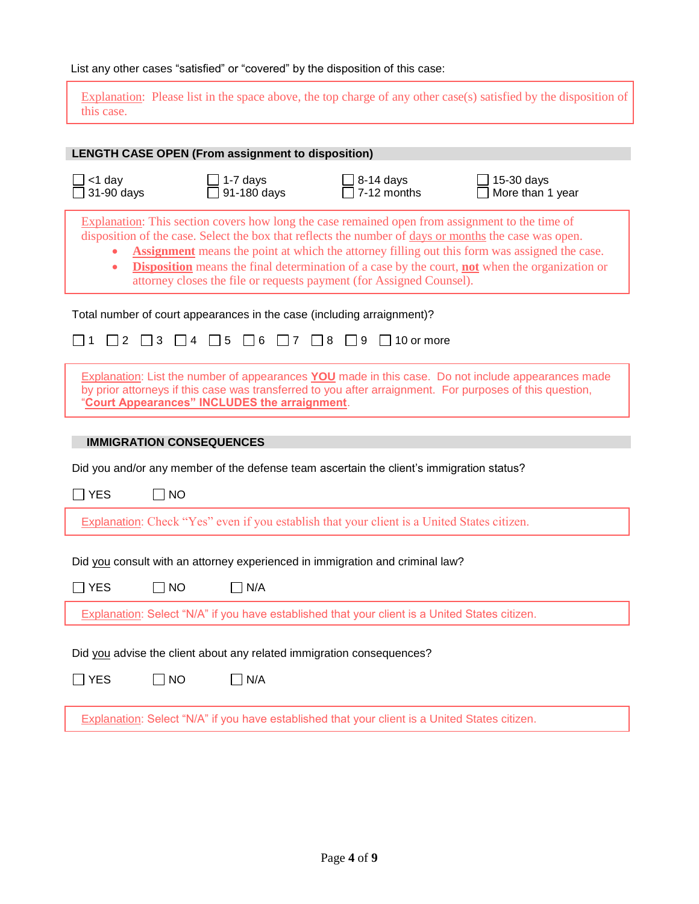List any other cases "satisfied" or "covered" by the disposition of this case:

Explanation: Please list in the space above, the top charge of any other case(s) satisfied by the disposition of this case.

|                                 |              | <b>LENGTH CASE OPEN (From assignment to disposition)</b> |                                                                                                                                                                                                                                                                                  |                                                                                                                                                                                                                |
|---------------------------------|--------------|----------------------------------------------------------|----------------------------------------------------------------------------------------------------------------------------------------------------------------------------------------------------------------------------------------------------------------------------------|----------------------------------------------------------------------------------------------------------------------------------------------------------------------------------------------------------------|
| $<$ 1 day<br>31-90 days         |              | 1-7 days<br>91-180 days                                  | $8-14$ days<br>7-12 months                                                                                                                                                                                                                                                       | 15-30 days<br>More than 1 year                                                                                                                                                                                 |
| $\bullet$                       |              |                                                          | Explanation: This section covers how long the case remained open from assignment to the time of<br>disposition of the case. Select the box that reflects the number of days or months the case was open.<br>attorney closes the file or requests payment (for Assigned Counsel). | <b>Assignment</b> means the point at which the attorney filling out this form was assigned the case.<br>Disposition means the final determination of a case by the court, not when the organization or         |
|                                 |              |                                                          | Total number of court appearances in the case (including arraignment)?                                                                                                                                                                                                           |                                                                                                                                                                                                                |
| 2                               | $\vert$   3  | $\Box$ 4 $\Box$ 5 $\Box$ 6<br>$\Box$ 7                   | $\Box$ 8<br>$\vert$   9<br>$\vert$ 10 or more                                                                                                                                                                                                                                    |                                                                                                                                                                                                                |
|                                 |              | 'Court Appearances" INCLUDES the arraignment.            |                                                                                                                                                                                                                                                                                  | Explanation: List the number of appearances YOU made in this case. Do not include appearances made<br>by prior attorneys if this case was transferred to you after arraignment. For purposes of this question, |
| <b>IMMIGRATION CONSEQUENCES</b> |              |                                                          |                                                                                                                                                                                                                                                                                  |                                                                                                                                                                                                                |
|                                 |              |                                                          | Did you and/or any member of the defense team ascertain the client's immigration status?                                                                                                                                                                                         |                                                                                                                                                                                                                |
| $\Box$ YES                      | $\Box$ NO    |                                                          |                                                                                                                                                                                                                                                                                  |                                                                                                                                                                                                                |
|                                 |              |                                                          | Explanation: Check "Yes" even if you establish that your client is a United States citizen.                                                                                                                                                                                      |                                                                                                                                                                                                                |
|                                 |              |                                                          | Did you consult with an attorney experienced in immigration and criminal law?                                                                                                                                                                                                    |                                                                                                                                                                                                                |
| $\Box$ YES                      | NO           | N/A                                                      |                                                                                                                                                                                                                                                                                  |                                                                                                                                                                                                                |
|                                 |              |                                                          | Explanation: Select "N/A" if you have established that your client is a United States citizen.                                                                                                                                                                                   |                                                                                                                                                                                                                |
|                                 |              |                                                          | Did you advise the client about any related immigration consequences?                                                                                                                                                                                                            |                                                                                                                                                                                                                |
| $\square$ YES                   | $\square$ NO | $\Box$ N/A                                               |                                                                                                                                                                                                                                                                                  |                                                                                                                                                                                                                |
|                                 |              |                                                          | Explanation: Select "N/A" if you have established that your client is a United States citizen.                                                                                                                                                                                   |                                                                                                                                                                                                                |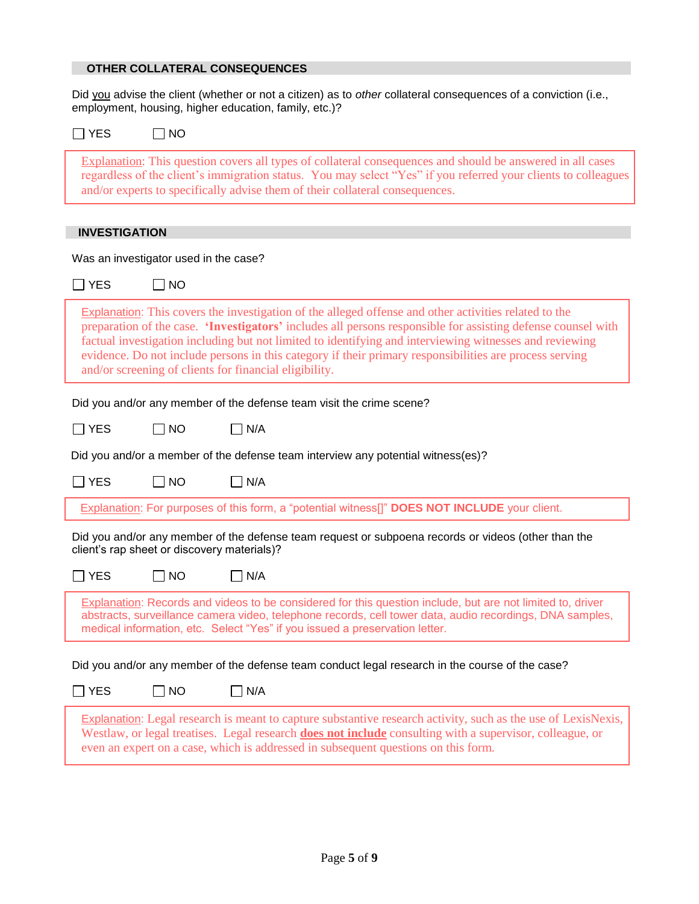# **OTHER COLLATERAL CONSEQUENCES**

Did you advise the client (whether or not a citizen) as to *other* collateral consequences of a conviction (i.e., employment, housing, higher education, family, etc.)?

| <b>YES</b><br>$\Box$ NO                                                                                                                                                                                                                                                                                                                                                                                                                                                                               |
|-------------------------------------------------------------------------------------------------------------------------------------------------------------------------------------------------------------------------------------------------------------------------------------------------------------------------------------------------------------------------------------------------------------------------------------------------------------------------------------------------------|
| Explanation: This question covers all types of collateral consequences and should be answered in all cases<br>regardless of the client's immigration status. You may select "Yes" if you referred your clients to colleagues<br>and/or experts to specifically advise them of their collateral consequences.                                                                                                                                                                                          |
|                                                                                                                                                                                                                                                                                                                                                                                                                                                                                                       |
| <b>INVESTIGATION</b>                                                                                                                                                                                                                                                                                                                                                                                                                                                                                  |
| Was an investigator used in the case?                                                                                                                                                                                                                                                                                                                                                                                                                                                                 |
| $\Box$ YES<br>$\Box$ NO                                                                                                                                                                                                                                                                                                                                                                                                                                                                               |
| Explanation: This covers the investigation of the alleged offense and other activities related to the<br>preparation of the case. 'Investigators' includes all persons responsible for assisting defense counsel with<br>factual investigation including but not limited to identifying and interviewing witnesses and reviewing<br>evidence. Do not include persons in this category if their primary responsibilities are process serving<br>and/or screening of clients for financial eligibility. |
| Did you and/or any member of the defense team visit the crime scene?                                                                                                                                                                                                                                                                                                                                                                                                                                  |
| $\Box$ YES<br>$\Box$ NO<br>N/A                                                                                                                                                                                                                                                                                                                                                                                                                                                                        |
| Did you and/or a member of the defense team interview any potential witness(es)?                                                                                                                                                                                                                                                                                                                                                                                                                      |
| $\Box$ N/A<br>$\exists$ YES<br>$\square$ NO                                                                                                                                                                                                                                                                                                                                                                                                                                                           |
| Explanation: For purposes of this form, a "potential witness[]" DOES NOT INCLUDE your client.                                                                                                                                                                                                                                                                                                                                                                                                         |
| Did you and/or any member of the defense team request or subpoena records or videos (other than the<br>client's rap sheet or discovery materials)?                                                                                                                                                                                                                                                                                                                                                    |
| $\sqcap$ YES<br>$\Box$ NO<br>$\neg N/A$                                                                                                                                                                                                                                                                                                                                                                                                                                                               |
| Explanation: Records and videos to be considered for this question include, but are not limited to, driver<br>abstracts, surveillance camera video, telephone records, cell tower data, audio recordings, DNA samples,<br>medical information, etc. Select "Yes" if you issued a preservation letter.                                                                                                                                                                                                 |
|                                                                                                                                                                                                                                                                                                                                                                                                                                                                                                       |
| Did you and/or any member of the defense team conduct legal research in the course of the case?                                                                                                                                                                                                                                                                                                                                                                                                       |
| $\exists$ YES<br>$\square$ NO<br>$\Box$ N/A                                                                                                                                                                                                                                                                                                                                                                                                                                                           |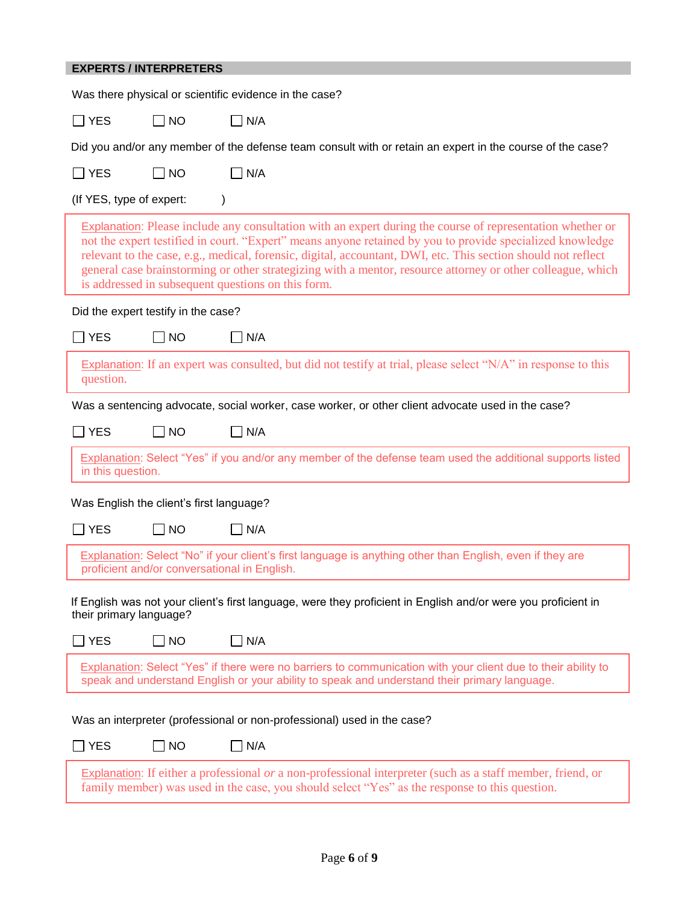# **EXPERTS / INTERPRETERS**

|                          |                                          | Was there physical or scientific evidence in the case?                                                                                                                                                                                                                                                                                                                                                                                                                                                               |
|--------------------------|------------------------------------------|----------------------------------------------------------------------------------------------------------------------------------------------------------------------------------------------------------------------------------------------------------------------------------------------------------------------------------------------------------------------------------------------------------------------------------------------------------------------------------------------------------------------|
| $\Box$ YES               | $\Box$ No                                | $\Box$ N/A                                                                                                                                                                                                                                                                                                                                                                                                                                                                                                           |
|                          |                                          | Did you and/or any member of the defense team consult with or retain an expert in the course of the case?                                                                                                                                                                                                                                                                                                                                                                                                            |
| <b>YES</b>               | $\Box$ NO                                | $\n  1N/A$                                                                                                                                                                                                                                                                                                                                                                                                                                                                                                           |
| (If YES, type of expert: |                                          |                                                                                                                                                                                                                                                                                                                                                                                                                                                                                                                      |
|                          |                                          | <b>Explanation:</b> Please include any consultation with an expert during the course of representation whether or<br>not the expert testified in court. "Expert" means anyone retained by you to provide specialized knowledge<br>relevant to the case, e.g., medical, forensic, digital, accountant, DWI, etc. This section should not reflect<br>general case brainstorming or other strategizing with a mentor, resource attorney or other colleague, which<br>is addressed in subsequent questions on this form. |
|                          | Did the expert testify in the case?      |                                                                                                                                                                                                                                                                                                                                                                                                                                                                                                                      |
| $\sqsupset$ YES          | $\Box$ No                                | $\Box$ N/A                                                                                                                                                                                                                                                                                                                                                                                                                                                                                                           |
| question.                |                                          | Explanation: If an expert was consulted, but did not testify at trial, please select "N/A" in response to this                                                                                                                                                                                                                                                                                                                                                                                                       |
|                          |                                          | Was a sentencing advocate, social worker, case worker, or other client advocate used in the case?                                                                                                                                                                                                                                                                                                                                                                                                                    |
| <b>YES</b>               | $\Box$ NO                                | $\neg$ N/A                                                                                                                                                                                                                                                                                                                                                                                                                                                                                                           |
| in this question.        |                                          | Explanation: Select "Yes" if you and/or any member of the defense team used the additional supports listed                                                                                                                                                                                                                                                                                                                                                                                                           |
|                          | Was English the client's first language? |                                                                                                                                                                                                                                                                                                                                                                                                                                                                                                                      |
| <b>YES</b>               | $\Box$ NO                                | $\Box$ N/A                                                                                                                                                                                                                                                                                                                                                                                                                                                                                                           |
|                          |                                          | Explanation: Select "No" if your client's first language is anything other than English, even if they are<br>proficient and/or conversational in English.                                                                                                                                                                                                                                                                                                                                                            |
| their primary language?  |                                          | If English was not your client's first language, were they proficient in English and/or were you proficient in                                                                                                                                                                                                                                                                                                                                                                                                       |
| <b>YES</b>               | $\Box$ NO                                | N/A                                                                                                                                                                                                                                                                                                                                                                                                                                                                                                                  |
|                          |                                          | Explanation: Select "Yes" if there were no barriers to communication with your client due to their ability to<br>speak and understand English or your ability to speak and understand their primary language.                                                                                                                                                                                                                                                                                                        |
|                          |                                          | Was an interpreter (professional or non-professional) used in the case?                                                                                                                                                                                                                                                                                                                                                                                                                                              |
| <b>YES</b>               |                                          |                                                                                                                                                                                                                                                                                                                                                                                                                                                                                                                      |
|                          | $\Box$ NO                                | $\Box$ N/A                                                                                                                                                                                                                                                                                                                                                                                                                                                                                                           |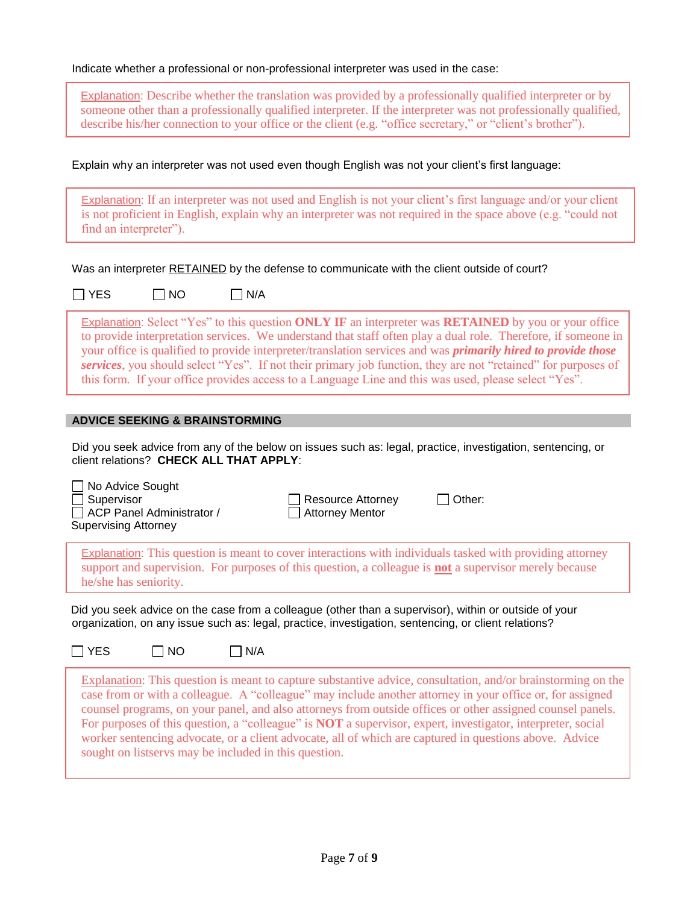|  | Indicate whether a professional or non-professional interpreter was used in the case: |  |  |  |  |
|--|---------------------------------------------------------------------------------------|--|--|--|--|
|--|---------------------------------------------------------------------------------------|--|--|--|--|

Explanation: Describe whether the translation was provided by a professionally qualified interpreter or by someone other than a professionally qualified interpreter. If the interpreter was not professionally qualified, describe his/her connection to your office or the client (e.g. "office secretary," or "client's brother").

Explain why an interpreter was not used even though English was not your client's first language:

Explanation: If an interpreter was not used and English is not your client's first language and/or your client is not proficient in English, explain why an interpreter was not required in the space above (e.g. "could not find an interpreter").

Was an interpreter RETAINED by the defense to communicate with the client outside of court?

 $\Box$  YES  $\Box$  NO  $\Box$  N/A

Explanation: Select "Yes" to this question **ONLY IF** an interpreter was **RETAINED** by you or your office to provide interpretation services. We understand that staff often play a dual role. Therefore, if someone in your office is qualified to provide interpreter/translation services and was *primarily hired to provide those services*, you should select "Yes". If not their primary job function, they are not "retained" for purposes of this form. If your office provides access to a Language Line and this was used, please select "Yes".

#### **ADVICE SEEKING & BRAINSTORMING**

Did you seek advice from any of the below on issues such as: legal, practice, investigation, sentencing, or client relations? **CHECK ALL THAT APPLY**:

□ No Advice Sought Supervisor  $\Box$  ACP Panel Administrator / Supervising Attorney  $\Box$  Resource Attorney  $\Box$  Other: □ Attorney Mentor Explanation: This question is meant to cover interactions with individuals tasked with providing attorney support and supervision. For purposes of this question, a colleague is **not** a supervisor merely because he/she has seniority.

Did you seek advice on the case from a colleague (other than a supervisor), within or outside of your organization, on any issue such as: legal, practice, investigation, sentencing, or client relations?

 $\Box$  YES  $\Box$  NO  $\Box$  N/A

Explanation: This question is meant to capture substantive advice, consultation, and/or brainstorming on the case from or with a colleague. A "colleague" may include another attorney in your office or, for assigned counsel programs, on your panel, and also attorneys from outside offices or other assigned counsel panels. For purposes of this question, a "colleague" is **NOT** a supervisor, expert, investigator, interpreter, social worker sentencing advocate, or a client advocate, all of which are captured in questions above. Advice sought on listservs may be included in this question.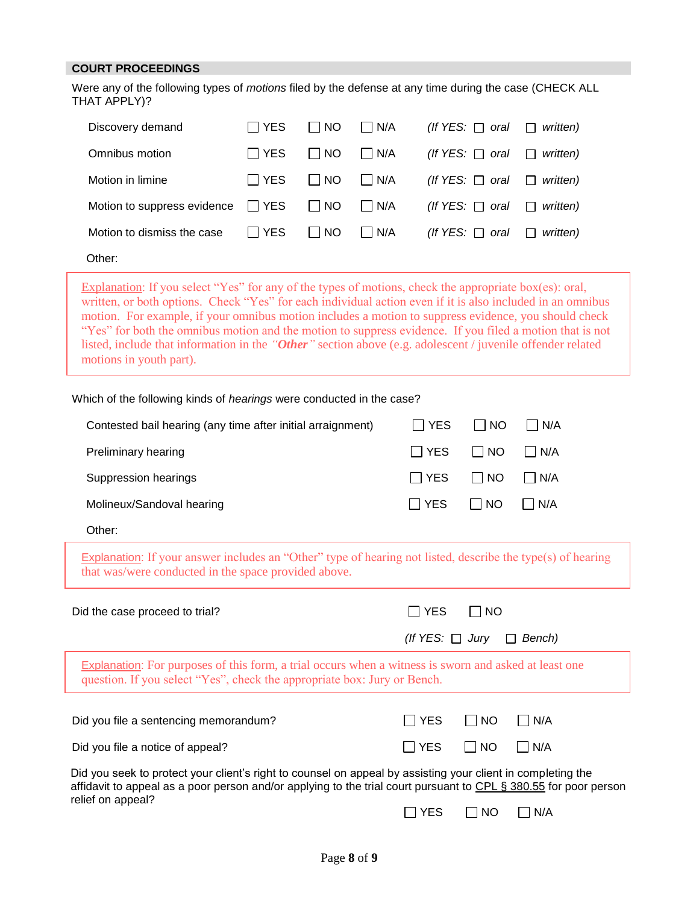#### **COURT PROCEEDINGS**

Were any of the following types of *motions* filed by the defense at any time during the case (CHECK ALL THAT APPLY)?

| Discovery demand            | <b>I</b> YES | I INO             | $\vert$ $\vert$ N/A | (If YES: $\Box$ oral    | $\Box$<br>written) |
|-----------------------------|--------------|-------------------|---------------------|-------------------------|--------------------|
| Omnibus motion              | <b>I</b> YES | I INO             | $\Box$ N/A          | $($ If YES: $\Box$ oral | written)<br>П      |
| Motion in limine            | I TYES.      | I INO             | $\Box$ N/A          | (If YES: $\Box$ oral    | written)<br>$\Box$ |
| Motion to suppress evidence | $\Box$ YES   | $\blacksquare$ NO | $\vert$ $\vert$ N/A | (If YES: $\Box$ oral    | written)<br>$\Box$ |
| Motion to dismiss the case  | $\Box$ Yes   | I INO             | $\Box$ N/A          | (If YES: $\Box$ oral    | written)<br>$\Box$ |
| Other:                      |              |                   |                     |                         |                    |

Explanation: If you select "Yes" for any of the types of motions, check the appropriate box(es): oral, written, or both options. Check "Yes" for each individual action even if it is also included in an omnibus motion. For example, if your omnibus motion includes a motion to suppress evidence, you should check "Yes" for both the omnibus motion and the motion to suppress evidence. If you filed a motion that is not listed, include that information in the *"Other"* section above (e.g. adolescent / juvenile offender related motions in youth part).

Which of the following kinds of *hearings* were conducted in the case?

| Contested bail hearing (any time after initial arraignment) | I IYES                                   | I INO | $\mathsf{I}$ $\mathsf{I}$ N/A |  |
|-------------------------------------------------------------|------------------------------------------|-------|-------------------------------|--|
| <b>Preliminary hearing</b>                                  | $\Box$ YES $\Box$ NO $\Box$ N/A          |       |                               |  |
| Suppression hearings                                        | IIYES IINO IINA                          |       |                               |  |
| Molineux/Sandoval hearing                                   | $ $ $ $ $YES$ $ $ $ $ $NO$ $ $ $ $ $N/A$ |       |                               |  |
| Other:                                                      |                                          |       |                               |  |

Explanation: If your answer includes an "Other" type of hearing not listed, describe the type(s) of hearing that was/were conducted in the space provided above.

| Did the case proceed to trial?                                                                                                                                                                                                  | l IYES               | <b>NO</b> |                        |
|---------------------------------------------------------------------------------------------------------------------------------------------------------------------------------------------------------------------------------|----------------------|-----------|------------------------|
|                                                                                                                                                                                                                                 | (If YES: $\Box$ Jury |           | Bench)<br>$\mathbf{1}$ |
| Explanation: For purposes of this form, a trial occurs when a witness is sworn and asked at least one<br>question. If you select "Yes", check the appropriate box: Jury or Bench.                                               |                      |           |                        |
| Did you file a sentencing memorandum?                                                                                                                                                                                           | IIYES                | I INO     | IIN/A                  |
| Did you file a notice of appeal?                                                                                                                                                                                                | l IYES               | I INO     | l N/A                  |
| Did you seek to protect your client's right to counsel on appeal by assisting your client in completing the<br>affidavit to appeal as a poor person and/or applying to the trial court pursuant to CPL § 380.55 for poor person |                      |           |                        |

relief on appeal?

 $\Box$  YES  $\Box$  NO  $\Box$  N/A